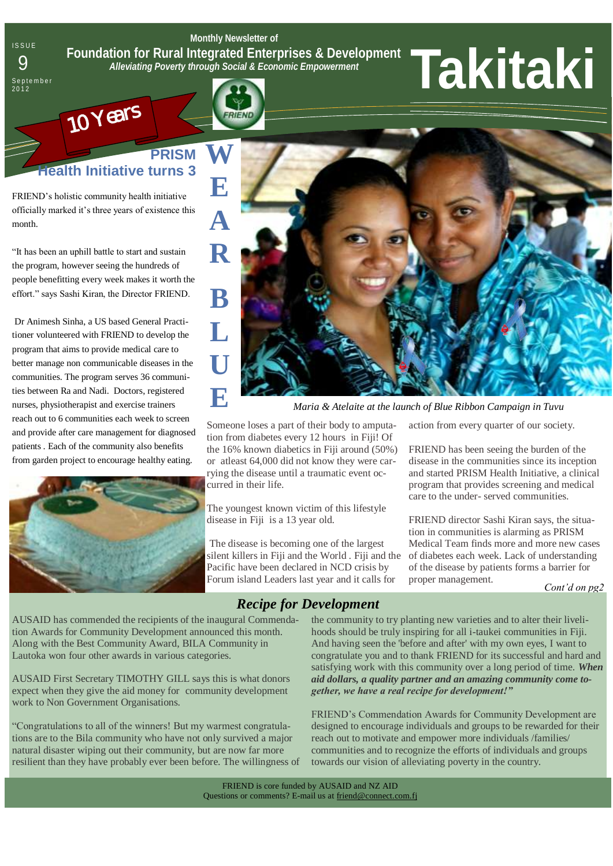**Monthly Newsletter of Foundation for Rural Integrated Enterprises & Development**  *Alleviating Poverty through Social & Economic Empowerment* Foundation for Rural Integrated Enterprises & Development<br> **9** Foundation for Rural Integrated Enterprises & Development<br> **9 Partember** 

**RIFNI** 

# **PRISM th Initiative turns 3**

FRIEND's holistic community health initiative officially marked it's three years of existence this month.

10 Years

**ISSUE** 

S e p t e m b e <mark>r</mark><br>2012

"It has been an uphill battle to start and sustain the program, however seeing the hundreds of people benefitting every week makes it worth the effort." says Sashi Kiran, the Director FRIEND.

Dr Animesh Sinha, a US based General Practitioner volunteered with FRIEND to develop the program that aims to provide medical care to better manage non communicable diseases in the communities. The program serves 36 communities between Ra and Nadi. Doctors, registered nurses, physiotherapist and exercise trainers reach out to 6 communities each week to screen and provide after care management for diagnosed patients . Each of the community also benefits from garden project to encourage healthy eating.



**W E A R B L U E**

*Maria & Atelaite at the launch of Blue Ribbon Campaign in Tuvu*

Someone loses a part of their body to amputation from diabetes every 12 hours in Fiji! Of the 16% known diabetics in Fiji around (50%) or atleast 64,000 did not know they were carrying the disease until a traumatic event occurred in their life.

The youngest known victim of this lifestyle disease in Fiji is a 13 year old.

The disease is becoming one of the largest silent killers in Fiji and the World . Fiji and the Pacific have been declared in NCD crisis by Forum island Leaders last year and it calls for

action from every quarter of our society.

FRIEND has been seeing the burden of the disease in the communities since its inception and started PRISM Health Initiative, a clinical program that provides screening and medical care to the under- served communities.

FRIEND director Sashi Kiran says, the situation in communities is alarming as PRISM Medical Team finds more and more new cases of diabetes each week. Lack of understanding of the disease by patients forms a barrier for proper management.

*Cont'd on pg2*

*Recipe for Development*

AUSAID has commended the recipients of the inaugural Commendation Awards for Community Development announced this month. Along with the Best Community Award, BILA Community in Lautoka won four other awards in various categories.

AUSAID First Secretary TIMOTHY GILL says this is what donors expect when they give the aid money for community development work to Non Government Organisations.

―Congratulations to all of the winners! But my warmest congratulations are to the Bila community who have not only survived a major natural disaster wiping out their community, but are now far more resilient than they have probably ever been before. The willingness of the community to try planting new varieties and to alter their livelihoods should be truly inspiring for all i-taukei communities in Fiji. And having seen the 'before and after' with my own eyes, I want to congratulate you and to thank FRIEND for its successful and hard and satisfying work with this community over a long period of time. *When aid dollars, a quality partner and an amazing community come together, we have a real recipe for development!"*

FRIEND's Commendation Awards for Community Development are designed to encourage individuals and groups to be rewarded for their reach out to motivate and empower more individuals /families/ communities and to recognize the efforts of individuals and groups towards our vision of alleviating poverty in the country.

FRIEND is core funded by AUSAID and NZ AID Questions or comments? E-mail us at friend@connect.com.fj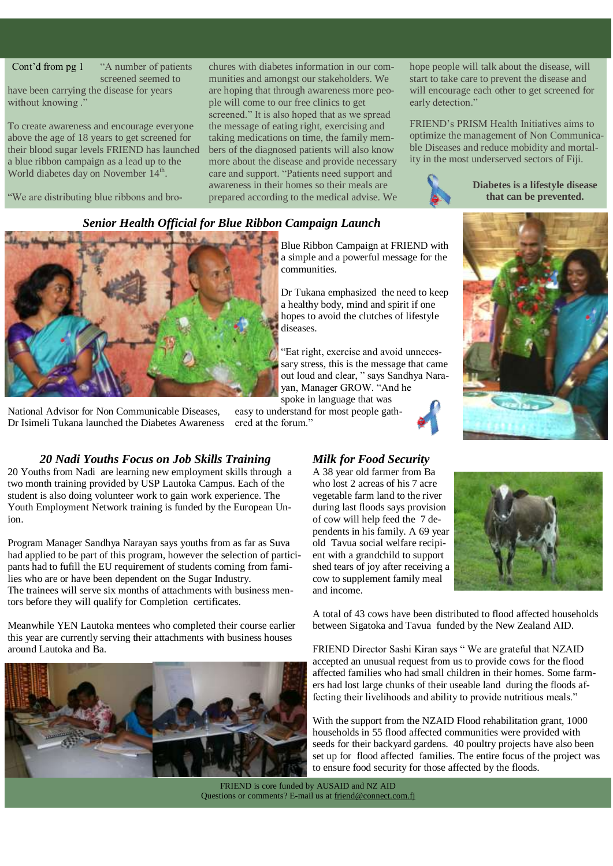#### Cont'd from pg 1

―A number of patients screened seemed to

have been carrying the disease for years without knowing.

To create awareness and encourage everyone above the age of 18 years to get screened for their blood sugar levels FRIEND has launched a blue ribbon campaign as a lead up to the World diabetes day on November 14<sup>th</sup>.

―We are distributing blue ribbons and bro-

chures with diabetes information in our communities and amongst our stakeholders. We are hoping that through awareness more people will come to our free clinics to get screened." It is also hoped that as we spread the message of eating right, exercising and taking medications on time, the family members of the diagnosed patients will also know more about the disease and provide necessary care and support. "Patients need support and awareness in their homes so their meals are prepared according to the medical advise. We hope people will talk about the disease, will start to take care to prevent the disease and will encourage each other to get screened for early detection."

FRIEND's PRISM Health Initiatives aims to optimize the management of Non Communicable Diseases and reduce mobidity and mortality in the most underserved sectors of Fiji.



**Diabetes is a lifestyle disease that can be prevented.**

## *Senior Health Official for Blue Ribbon Campaign Launch*



National Advisor for Non Communicable Diseases, Dr Isimeli Tukana launched the Diabetes Awareness

Blue Ribbon Campaign at FRIEND with a simple and a powerful message for the communities.

Dr Tukana emphasized the need to keep a healthy body, mind and spirit if one hopes to avoid the clutches of lifestyle diseases.

―Eat right, exercise and avoid unnecessary stress, this is the message that came out loud and clear, " says Sandhya Narayan, Manager GROW. "And he spoke in language that was

easy to understand for most people gath-





ered at the forum."

*20 Nadi Youths Focus on Job Skills Training* 20 Youths from Nadi are learning new employment skills through a two month training provided by USP Lautoka Campus. Each of the student is also doing volunteer work to gain work experience. The Youth Employment Network training is funded by the European Union.

Program Manager Sandhya Narayan says youths from as far as Suva had applied to be part of this program, however the selection of participants had to fufill the EU requirement of students coming from families who are or have been dependent on the Sugar Industry. The trainees will serve six months of attachments with business mentors before they will qualify for Completion certificates.

Meanwhile YEN Lautoka mentees who completed their course earlier this year are currently serving their attachments with business houses around Lautoka and Ba.



#### *Milk for Food Security*

A 38 year old farmer from Ba who lost 2 acreas of his 7 acre vegetable farm land to the river during last floods says provision of cow will help feed the 7 dependents in his family. A 69 year old Tavua social welfare recipient with a grandchild to support shed tears of joy after receiving a cow to supplement family meal and income.

A total of 43 cows have been distributed to flood affected households between Sigatoka and Tavua funded by the New Zealand AID.

FRIEND Director Sashi Kiran says "We are grateful that NZAID accepted an unusual request from us to provide cows for the flood affected families who had small children in their homes. Some farmers had lost large chunks of their useable land during the floods affecting their livelihoods and ability to provide nutritious meals."

With the support from the NZAID Flood rehabilitation grant, 1000 households in 55 flood affected communities were provided with seeds for their backyard gardens. 40 poultry projects have also been set up for flood affected families. The entire focus of the project was to ensure food security for those affected by the floods.

FRIEND is core funded by AUSAID and NZ AID Questions or comments? E-mail us at friend@connect.com.fj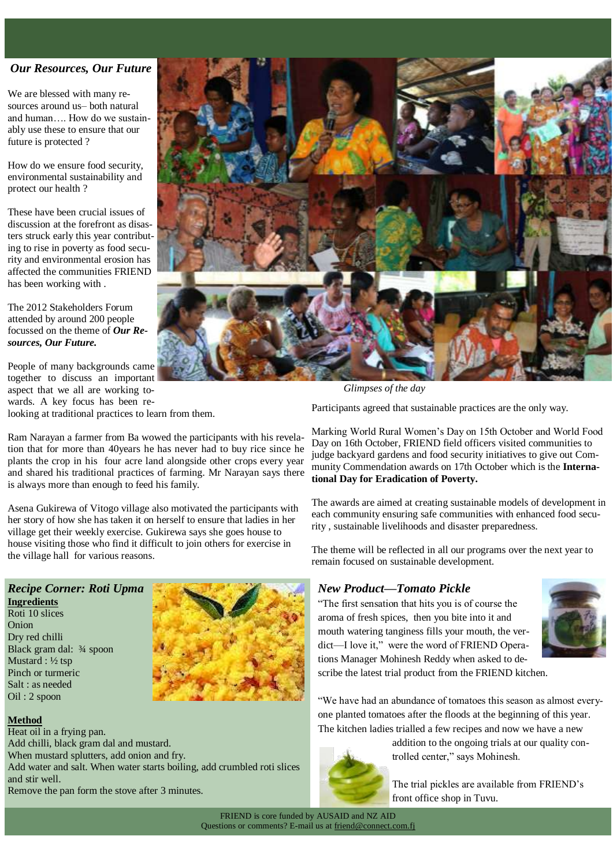#### *Our Resources, Our Future*

We are blessed with many resources around us– both natural and human…. How do we sustainably use these to ensure that our future is protected ?

How do we ensure food security, environmental sustainability and protect our health ?

These have been crucial issues of discussion at the forefront as disasters struck early this year contributing to rise in poverty as food security and environmental erosion has affected the communities FRIEND has been working with .

The 2012 Stakeholders Forum attended by around 200 people focussed on the theme of *Our Resources, Our Future.*

People of many backgrounds came together to discuss an important aspect that we all are working towards. A key focus has been relooking at traditional practices to learn from them.

Ram Narayan a farmer from Ba wowed the participants with his revelation that for more than 40years he has never had to buy rice since he plants the crop in his four acre land alongside other crops every year and shared his traditional practices of farming. Mr Narayan says there is always more than enough to feed his family.

Asena Gukirewa of Vitogo village also motivated the participants with her story of how she has taken it on herself to ensure that ladies in her village get their weekly exercise. Gukirewa says she goes house to house visiting those who find it difficult to join others for exercise in the village hall for various reasons.

### *Recipe Corner: Roti Upma*

**Ingredients** Roti 10 slices Onion Dry red chilli Black gram dal: ¾ spoon Mustard : ½ tsp Pinch or turmeric Salt : as needed Oil : 2 spoon



#### **Method**

Heat oil in a frying pan. Add chilli, black gram dal and mustard. When mustard splutters, add onion and fry. Add water and salt. When water starts boiling, add crumbled roti slices and stir well. Remove the pan form the stove after 3 minutes.



*Glimpses of the day*

Participants agreed that sustainable practices are the only way.

Marking World Rural Women's Day on 15th October and World Food Day on 16th October, FRIEND field officers visited communities to judge backyard gardens and food security initiatives to give out Community Commendation awards on 17th October which is the **International Day for Eradication of Poverty.** 

The awards are aimed at creating sustainable models of development in each community ensuring safe communities with enhanced food security , sustainable livelihoods and disaster preparedness.

The theme will be reflected in all our programs over the next year to remain focused on sustainable development.

### *New Product—Tomato Pickle*

―The first sensation that hits you is of course the aroma of fresh spices, then you bite into it and mouth watering tanginess fills your mouth, the verdict—I love it," were the word of FRIEND Operations Manager Mohinesh Reddy when asked to de-



scribe the latest trial product from the FRIEND kitchen.

"We have had an abundance of tomatoes this season as almost everyone planted tomatoes after the floods at the beginning of this year. The kitchen ladies trialled a few recipes and now we have a new



addition to the ongoing trials at our quality controlled center," says Mohinesh.

The trial pickles are available from FRIEND's front office shop in Tuvu.

FRIEND is core funded by AUSAID and NZ AID Questions or comments? E-mail us at friend@connect.com.fj